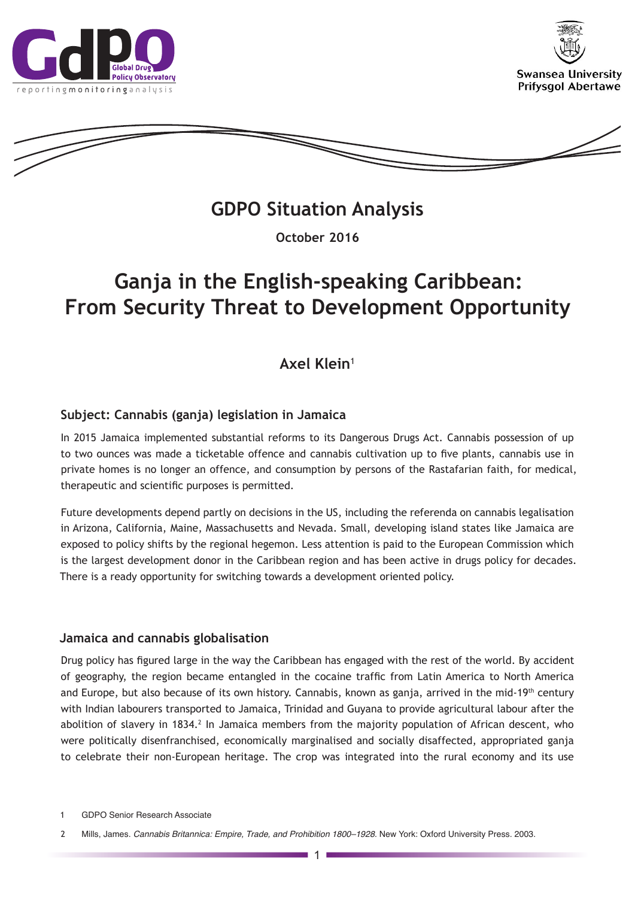





**GDPO Situation Analysis** 

**October 2016**

# **Ganja in the English-speaking Caribbean: From Security Threat to Development Opportunity**

# **Axel Klein**<sup>1</sup>

## **Subject: Cannabis (ganja) legislation in Jamaica**

In 2015 Jamaica implemented substantial reforms to its Dangerous Drugs Act. Cannabis possession of up to two ounces was made a ticketable offence and cannabis cultivation up to five plants, cannabis use in private homes is no longer an offence, and consumption by persons of the Rastafarian faith, for medical, therapeutic and scientific purposes is permitted.

Future developments depend partly on decisions in the US, including the referenda on cannabis legalisation in Arizona, California, Maine, Massachusetts and Nevada. Small, developing island states like Jamaica are exposed to policy shifts by the regional hegemon. Less attention is paid to the European Commission which is the largest development donor in the Caribbean region and has been active in drugs policy for decades. There is a ready opportunity for switching towards a development oriented policy.

### **Jamaica and cannabis globalisation**

Drug policy has figured large in the way the Caribbean has engaged with the rest of the world. By accident of geography, the region became entangled in the cocaine traffic from Latin America to North America and Europe, but also because of its own history. Cannabis, known as ganja, arrived in the mid-19<sup>th</sup> century with Indian labourers transported to Jamaica, Trinidad and Guyana to provide agricultural labour after the abolition of slavery in 1834.<sup>2</sup> In Jamaica members from the majority population of African descent, who were politically disenfranchised, economically marginalised and socially disaffected, appropriated ganja to celebrate their non-European heritage. The crop was integrated into the rural economy and its use

<sup>1</sup> GDPO Senior Research Associate

<sup>2</sup> Mills, James. *Cannabis Britannica: Empire, Trade, and Prohibition 1800–1928*. New York: Oxford University Press. 2003.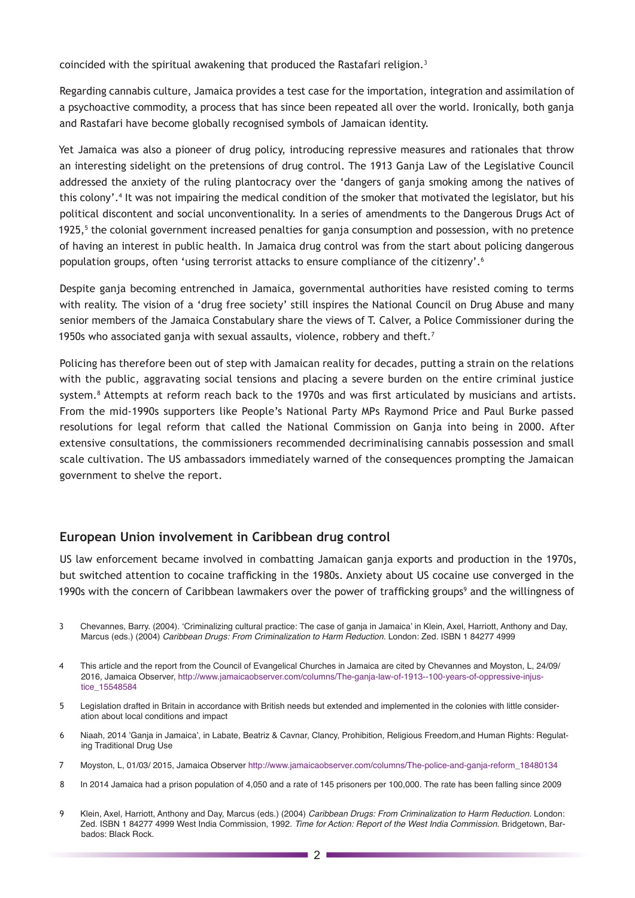coincided with the spiritual awakening that produced the Rastafari religion.<sup>3</sup>

Regarding cannabis culture, Jamaica provides a test case for the importation, integration and assimilation of a psychoactive commodity, a process that has since been repeated all over the world. Ironically, both ganja and Rastafari have become globally recognised symbols of Jamaican identity.

Yet Jamaica was also a pioneer of drug policy, introducing repressive measures and rationales that throw an interesting sidelight on the pretensions of drug control. The 1913 Ganja Law of the Legislative Council addressed the anxiety of the ruling plantocracy over the 'dangers of ganja smoking among the natives of this colony'.4 It was not impairing the medical condition of the smoker that motivated the legislator, but his political discontent and social unconventionality. In a series of amendments to the Dangerous Drugs Act of 1925,<sup>5</sup> the colonial government increased penalties for ganja consumption and possession, with no pretence of having an interest in public health. In Jamaica drug control was from the start about policing dangerous population groups, often 'using terrorist attacks to ensure compliance of the citizenry'.<sup>6</sup>

Despite ganja becoming entrenched in Jamaica, governmental authorities have resisted coming to terms with reality. The vision of a 'drug free society' still inspires the National Council on Drug Abuse and many senior members of the Jamaica Constabulary share the views of T. Calver, a Police Commissioner during the 1950s who associated ganja with sexual assaults, violence, robbery and theft.<sup>7</sup>

Policing has therefore been out of step with Jamaican reality for decades, putting a strain on the relations with the public, aggravating social tensions and placing a severe burden on the entire criminal justice system.8 Attempts at reform reach back to the 1970s and was first articulated by musicians and artists. From the mid-1990s supporters like People's National Party MPs Raymond Price and Paul Burke passed resolutions for legal reform that called the National Commission on Ganja into being in 2000. After extensive consultations, the commissioners recommended decriminalising cannabis possession and small scale cultivation. The US ambassadors immediately warned of the consequences prompting the Jamaican government to shelve the report.

### **European Union involvement in Caribbean drug control**

US law enforcement became involved in combatting Jamaican ganja exports and production in the 1970s, but switched attention to cocaine trafficking in the 1980s. Anxiety about US cocaine use converged in the 1990s with the concern of Caribbean lawmakers over the power of trafficking groups<sup>9</sup> and the willingness of

- 3 Chevannes, Barry. (2004). 'Criminalizing cultural practice: The case of ganja in Jamaica' in Klein, Axel, Harriott, Anthony and Day, Marcus (eds.) (2004) *Caribbean Drugs: From Criminalization to Harm Reduction.* London: Zed. ISBN 1 84277 4999
- 4 This article and the report from the Council of Evangelical Churches in Jamaica are cited by Chevannes and Moyston, L, 24/09/ 2016, Jamaica Observer, [http://www.jamaicaobserver.com/columns/The-ganja-law-of-1913--100-years-of-oppressive-injus](http://www.jamaicaobserver.com/columns/The-ganja-law-of-1913--100-years-of-oppressive-injustice_15548584)[tice\\_15548584](http://www.jamaicaobserver.com/columns/The-ganja-law-of-1913--100-years-of-oppressive-injustice_15548584)
- 5 Legislation drafted in Britain in accordance with British needs but extended and implemented in the colonies with little consideration about local conditions and impact
- 6 Niaah, 2014 'Ganja in Jamaica', in Labate, Beatriz & Cavnar, Clancy, Prohibition, Religious Freedom,and Human Rights: Regulating Traditional Drug Use
- 7 Moyston, L, 01/03/ 2015, Jamaica Observer [http://www.jamaicaobserver.com/columns/The-police-and-ganja-reform\\_18480134](http://www.jamaicaobserver.com/columns/The-police-and-ganja-reform_18480134)
- 8 In 2014 Jamaica had a prison population of 4,050 and a rate of 145 prisoners per 100,000. The rate has been falling since 2009
- 9 Klein, Axel, Harriott, Anthony and Day, Marcus (eds.) (2004) *Caribbean Drugs: From Criminalization to Harm Reduction.* London: Zed. ISBN 1 84277 4999 West India Commission, 1992. *Time for Action: Report of the West India Commission*. Bridgetown, Barbados: Black Rock.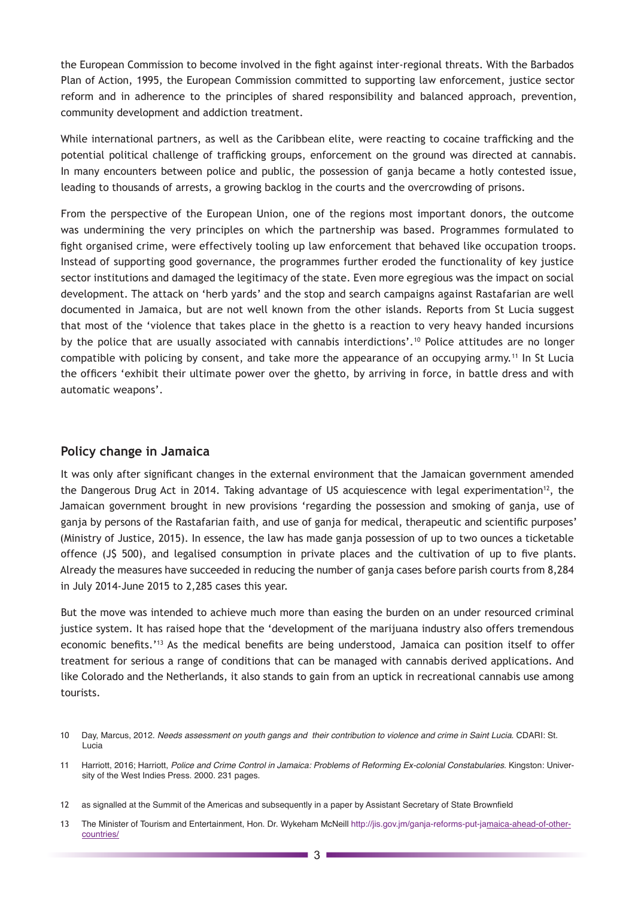the European Commission to become involved in the fight against inter-regional threats. With the Barbados Plan of Action, 1995, the European Commission committed to supporting law enforcement, justice sector reform and in adherence to the principles of shared responsibility and balanced approach, prevention, community development and addiction treatment.

While international partners, as well as the Caribbean elite, were reacting to cocaine trafficking and the potential political challenge of trafficking groups, enforcement on the ground was directed at cannabis. In many encounters between police and public, the possession of ganja became a hotly contested issue, leading to thousands of arrests, a growing backlog in the courts and the overcrowding of prisons.

From the perspective of the European Union, one of the regions most important donors, the outcome was undermining the very principles on which the partnership was based. Programmes formulated to fight organised crime, were effectively tooling up law enforcement that behaved like occupation troops. Instead of supporting good governance, the programmes further eroded the functionality of key justice sector institutions and damaged the legitimacy of the state. Even more egregious was the impact on social development. The attack on 'herb yards' and the stop and search campaigns against Rastafarian are well documented in Jamaica, but are not well known from the other islands. Reports from St Lucia suggest that most of the 'violence that takes place in the ghetto is a reaction to very heavy handed incursions by the police that are usually associated with cannabis interdictions'.<sup>10</sup> Police attitudes are no longer compatible with policing by consent, and take more the appearance of an occupying army.<sup>11</sup> In St Lucia the officers 'exhibit their ultimate power over the ghetto, by arriving in force, in battle dress and with automatic weapons'.

#### **Policy change in Jamaica**

It was only after significant changes in the external environment that the Jamaican government amended the Dangerous Drug Act in 2014. Taking advantage of US acquiescence with legal experimentation<sup>12</sup>, the Jamaican government brought in new provisions 'regarding the possession and smoking of ganja, use of ganja by persons of the Rastafarian faith, and use of ganja for medical, therapeutic and scientific purposes' (Ministry of Justice, 2015). In essence, the law has made ganja possession of up to two ounces a ticketable offence (J\$ 500), and legalised consumption in private places and the cultivation of up to five plants. Already the measures have succeeded in reducing the number of ganja cases before parish courts from 8,284 in July 2014-June 2015 to 2,285 cases this year.

But the move was intended to achieve much more than easing the burden on an under resourced criminal justice system. It has raised hope that the 'development of the marijuana industry also offers tremendous economic benefits.'<sup>13</sup> As the medical benefits are being understood, Jamaica can position itself to offer treatment for serious a range of conditions that can be managed with cannabis derived applications. And like Colorado and the Netherlands, it also stands to gain from an uptick in recreational cannabis use among tourists.

<sup>10</sup> Day, Marcus, 2012. *Needs assessment on youth gangs and their contribution to violence and crime in Saint Lucia*. CDARI: St. Lucia

<sup>11</sup> Harriott, 2016; Harriott, *Police and Crime Control in Jamaica: Problems of Reforming Ex-colonial Constabularies*. Kingston: University of the West Indies Press. 2000. 231 pages.

<sup>12</sup> as signalled at the Summit of the Americas and subsequently in a paper by Assistant Secretary of State Brownfield

<sup>13</sup> The Minister of Tourism and Entertainment, Hon. Dr. Wykeham McNeill [http://jis.gov.jm/ganja-reforms-put-jamaica-ahead-of-other](http://jis.gov.jm/ganja-reforms-put-jamaica-ahead-of-other-countries/)[countries/](http://jis.gov.jm/ganja-reforms-put-jamaica-ahead-of-other-countries/)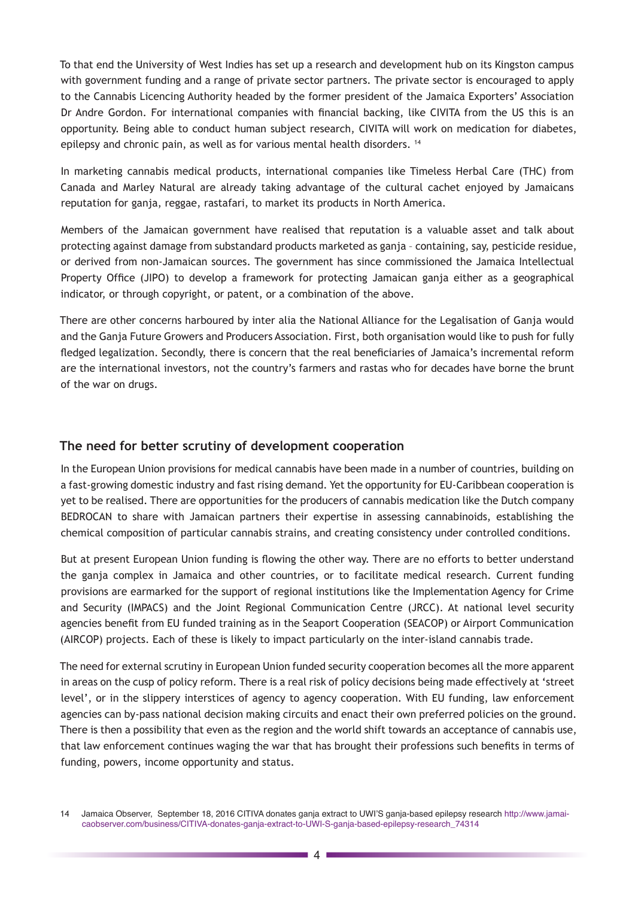To that end the University of West Indies has set up a research and development hub on its Kingston campus with government funding and a range of private sector partners. The private sector is encouraged to apply to the Cannabis Licencing Authority headed by the former president of the Jamaica Exporters' Association Dr Andre Gordon. For international companies with financial backing, like CIVITA from the US this is an opportunity. Being able to conduct human subject research, CIVITA will work on medication for diabetes, epilepsy and chronic pain, as well as for various mental health disorders.<sup>14</sup>

In marketing cannabis medical products, international companies like Timeless Herbal Care (THC) from Canada and Marley Natural are already taking advantage of the cultural cachet enjoyed by Jamaicans reputation for ganja, reggae, rastafari, to market its products in North America.

Members of the Jamaican government have realised that reputation is a valuable asset and talk about protecting against damage from substandard products marketed as ganja – containing, say, pesticide residue, or derived from non-Jamaican sources. The government has since commissioned the Jamaica Intellectual Property Office (JIPO) to develop a framework for protecting Jamaican ganja either as a geographical indicator, or through copyright, or patent, or a combination of the above.

There are other concerns harboured by inter alia the National Alliance for the Legalisation of Ganja would and the Ganja Future Growers and Producers Association. First, both organisation would like to push for fully fledged legalization. Secondly, there is concern that the real beneficiaries of Jamaica's incremental reform are the international investors, not the country's farmers and rastas who for decades have borne the brunt of the war on drugs.

### **The need for better scrutiny of development cooperation**

In the European Union provisions for medical cannabis have been made in a number of countries, building on a fast-growing domestic industry and fast rising demand. Yet the opportunity for EU-Caribbean cooperation is yet to be realised. There are opportunities for the producers of cannabis medication like the Dutch company BEDROCAN to share with Jamaican partners their expertise in assessing cannabinoids, establishing the chemical composition of particular cannabis strains, and creating consistency under controlled conditions.

But at present European Union funding is flowing the other way. There are no efforts to better understand the ganja complex in Jamaica and other countries, or to facilitate medical research. Current funding provisions are earmarked for the support of regional institutions like the Implementation Agency for Crime and Security (IMPACS) and the Joint Regional Communication Centre (JRCC). At national level security agencies benefit from EU funded training as in the Seaport Cooperation (SEACOP) or Airport Communication (AIRCOP) projects. Each of these is likely to impact particularly on the inter-island cannabis trade.

The need for external scrutiny in European Union funded security cooperation becomes all the more apparent in areas on the cusp of policy reform. There is a real risk of policy decisions being made effectively at 'street level', or in the slippery interstices of agency to agency cooperation. With EU funding, law enforcement agencies can by-pass national decision making circuits and enact their own preferred policies on the ground. There is then a possibility that even as the region and the world shift towards an acceptance of cannabis use, that law enforcement continues waging the war that has brought their professions such benefits in terms of funding, powers, income opportunity and status.

<sup>14</sup> Jamaica Observer, September 18, 2016 CITIVA donates ganja extract to UWI'S ganja-based epilepsy research [http://www.jamai](http://www.jamaicaobserver.com/business/CITIVA-donates-ganja-extract-to-UWI-S-ganja-based-epilepsy-research_74314)[caobserver.com/business/CITIVA-donates-ganja-extract-to-UWI-S-ganja-based-epilepsy-research\\_74314](http://www.jamaicaobserver.com/business/CITIVA-donates-ganja-extract-to-UWI-S-ganja-based-epilepsy-research_74314)